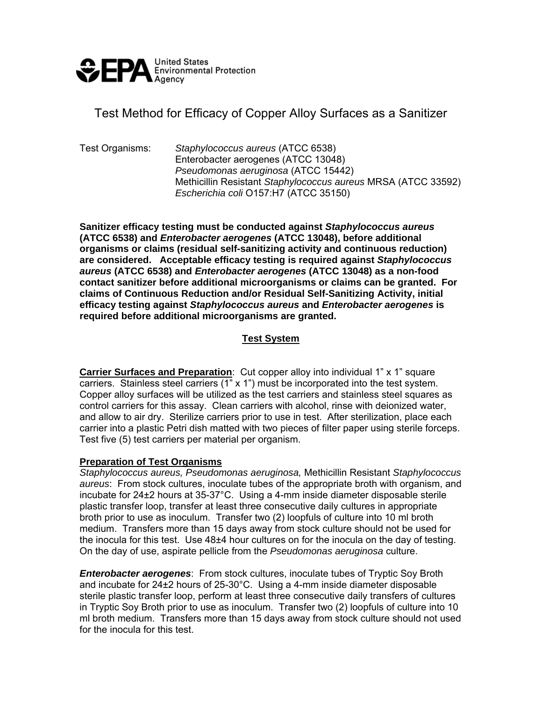

# Test Method for Efficacy of Copper Alloy Surfaces as a Sanitizer

Test Organisms: *Staphylococcus aureus* (ATCC 6538) Enterobacter aerogenes (ATCC 13048) *Pseudomonas aeruginosa* (ATCC 15442) Methicillin Resistant *Staphylococcus aureus* MRSA (ATCC 33592) *Escherichia coli* O157:H7 (ATCC 35150)

**Sanitizer efficacy testing must be conducted against** *Staphylococcus aureus* **(ATCC 6538) and** *Enterobacter aerogenes* **(ATCC 13048), before additional organisms or claims (residual self-sanitizing activity and continuous reduction) are considered. Acceptable efficacy testing is required against** *Staphylococcus aureus* **(ATCC 6538) and** *Enterobacter aerogenes* **(ATCC 13048) as a non-food contact sanitizer before additional microorganisms or claims can be granted. For claims of Continuous Reduction and/or Residual Self-Sanitizing Activity, initial efficacy testing against** *Staphylococcus aureus* **and** *Enterobacter aerogenes* **is required before additional microorganisms are granted.** 

## **Test System**

**Carrier Surfaces and Preparation**: Cut copper alloy into individual 1" x 1" square carriers. Stainless steel carriers  $(1)$ <sup>"</sup> x 1") must be incorporated into the test system. Copper alloy surfaces will be utilized as the test carriers and stainless steel squares as control carriers for this assay. Clean carriers with alcohol, rinse with deionized water, and allow to air dry. Sterilize carriers prior to use in test. After sterilization, place each carrier into a plastic Petri dish matted with two pieces of filter paper using sterile forceps. Test five (5) test carriers per material per organism.

#### **Preparation of Test Organisms**

*Staphylococcus aureus, Pseudomonas aeruginosa,* Methicillin Resistant *Staphylococcus aureus*: From stock cultures, inoculate tubes of the appropriate broth with organism, and incubate for 24±2 hours at 35-37°C. Using a 4-mm inside diameter disposable sterile plastic transfer loop, transfer at least three consecutive daily cultures in appropriate broth prior to use as inoculum. Transfer two (2) loopfuls of culture into 10 ml broth medium. Transfers more than 15 days away from stock culture should not be used for the inocula for this test. Use 48±4 hour cultures on for the inocula on the day of testing. On the day of use, aspirate pellicle from the *Pseudomonas aeruginosa* culture.

*Enterobacter aerogenes*: From stock cultures, inoculate tubes of Tryptic Soy Broth and incubate for  $24\pm2$  hours of  $25\cdot30^{\circ}$ C. Using a 4-mm inside diameter disposable sterile plastic transfer loop, perform at least three consecutive daily transfers of cultures in Tryptic Soy Broth prior to use as inoculum. Transfer two (2) loopfuls of culture into 10 ml broth medium. Transfers more than 15 days away from stock culture should not used for the inocula for this test.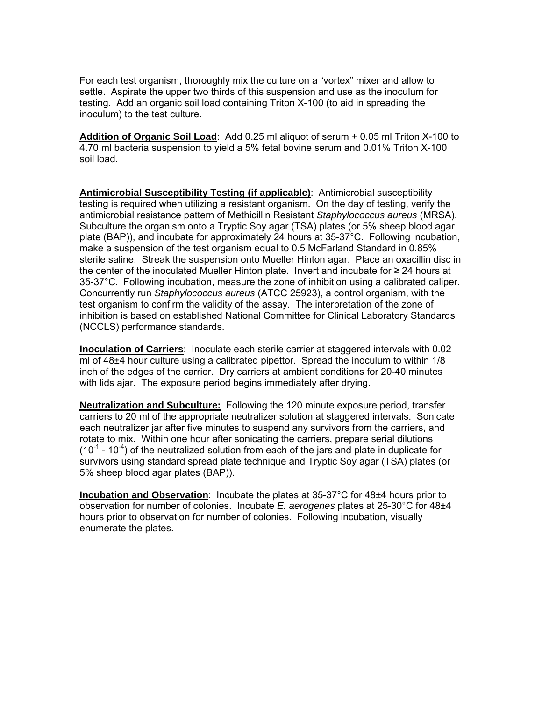For each test organism, thoroughly mix the culture on a "vortex" mixer and allow to settle. Aspirate the upper two thirds of this suspension and use as the inoculum for testing. Add an organic soil load containing Triton X-100 (to aid in spreading the inoculum) to the test culture.

**Addition of Organic Soil Load**: Add 0.25 ml aliquot of serum + 0.05 ml Triton X-100 to 4.70 ml bacteria suspension to yield a 5% fetal bovine serum and 0.01% Triton X-100 soil load.

**Antimicrobial Susceptibility Testing (if applicable)**: Antimicrobial susceptibility testing is required when utilizing a resistant organism. On the day of testing, verify the antimicrobial resistance pattern of Methicillin Resistant *Staphylococcus aureus* (MRSA). Subculture the organism onto a Tryptic Soy agar (TSA) plates (or 5% sheep blood agar plate (BAP)), and incubate for approximately 24 hours at 35-37°C. Following incubation, make a suspension of the test organism equal to 0.5 McFarland Standard in 0.85% sterile saline. Streak the suspension onto Mueller Hinton agar. Place an oxacillin disc in the center of the inoculated Mueller Hinton plate. Invert and incubate for ≥ 24 hours at 35-37°C. Following incubation, measure the zone of inhibition using a calibrated caliper. Concurrently run *Staphylococcus aureus* (ATCC 25923), a control organism, with the test organism to confirm the validity of the assay. The interpretation of the zone of inhibition is based on established National Committee for Clinical Laboratory Standards (NCCLS) performance standards.

**Inoculation of Carriers**: Inoculate each sterile carrier at staggered intervals with 0.02 ml of 48±4 hour culture using a calibrated pipettor. Spread the inoculum to within 1/8 inch of the edges of the carrier. Dry carriers at ambient conditions for 20-40 minutes with lids ajar. The exposure period begins immediately after drying.

**Neutralization and Subculture:** Following the 120 minute exposure period, transfer carriers to 20 ml of the appropriate neutralizer solution at staggered intervals. Sonicate each neutralizer jar after five minutes to suspend any survivors from the carriers, and rotate to mix. Within one hour after sonicating the carriers, prepare serial dilutions  $(10^{-1}$  - 10<sup>-4</sup>) of the neutralized solution from each of the jars and plate in duplicate for survivors using standard spread plate technique and Tryptic Soy agar (TSA) plates (or 5% sheep blood agar plates (BAP)).

**Incubation and Observation**: Incubate the plates at 35-37°C for 48±4 hours prior to observation for number of colonies. Incubate *E. aerogenes* plates at 25-30°C for 48±4 hours prior to observation for number of colonies. Following incubation, visually enumerate the plates.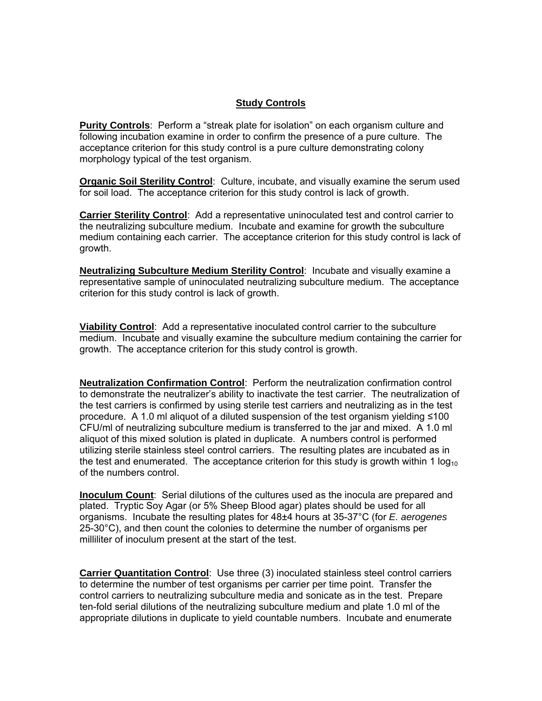## **Study Controls**

**Purity Controls**: Perform a "streak plate for isolation" on each organism culture and following incubation examine in order to confirm the presence of a pure culture. The acceptance criterion for this study control is a pure culture demonstrating colony morphology typical of the test organism.

**Organic Soil Sterility Control**: Culture, incubate, and visually examine the serum used for soil load. The acceptance criterion for this study control is lack of growth.

**Carrier Sterility Control**: Add a representative uninoculated test and control carrier to the neutralizing subculture medium. Incubate and examine for growth the subculture medium containing each carrier. The acceptance criterion for this study control is lack of growth.

**Neutralizing Subculture Medium Sterility Control**: Incubate and visually examine a representative sample of uninoculated neutralizing subculture medium. The acceptance criterion for this study control is lack of growth.

**Viability Control**: Add a representative inoculated control carrier to the subculture medium. Incubate and visually examine the subculture medium containing the carrier for growth. The acceptance criterion for this study control is growth.

**Neutralization Confirmation Control**: Perform the neutralization confirmation control to demonstrate the neutralizer's ability to inactivate the test carrier. The neutralization of the test carriers is confirmed by using sterile test carriers and neutralizing as in the test procedure. A 1.0 ml aliquot of a diluted suspension of the test organism yielding ≤100 CFU/ml of neutralizing subculture medium is transferred to the jar and mixed. A 1.0 ml aliquot of this mixed solution is plated in duplicate. A numbers control is performed utilizing sterile stainless steel control carriers. The resulting plates are incubated as in the test and enumerated. The acceptance criterion for this study is growth within 1  $log_{10}$ of the numbers control.

**Inoculum Count**: Serial dilutions of the cultures used as the inocula are prepared and plated. Tryptic Soy Agar (or 5% Sheep Blood agar) plates should be used for all organisms. Incubate the resulting plates for 48±4 hours at 35-37°C (for *E. aerogenes* 25-30°C), and then count the colonies to determine the number of organisms per milliliter of inoculum present at the start of the test.

**Carrier Quantitation Control**: Use three (3) inoculated stainless steel control carriers to determine the number of test organisms per carrier per time point. Transfer the control carriers to neutralizing subculture media and sonicate as in the test. Prepare ten-fold serial dilutions of the neutralizing subculture medium and plate 1.0 ml of the appropriate dilutions in duplicate to yield countable numbers. Incubate and enumerate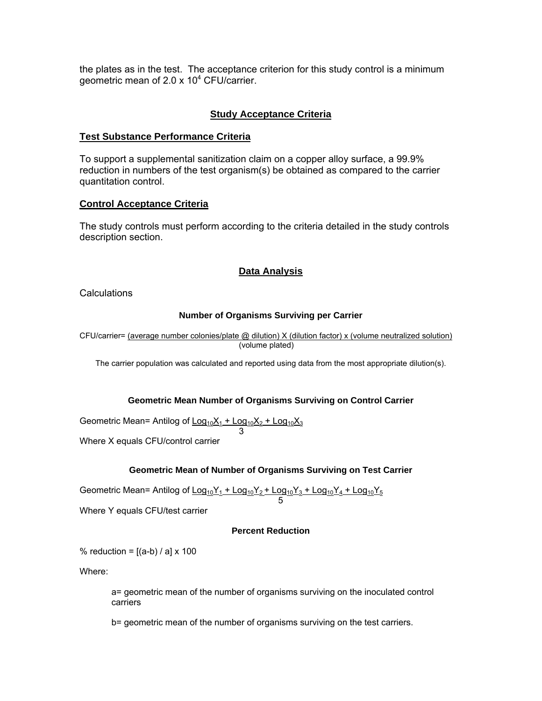the plates as in the test. The acceptance criterion for this study control is a minimum geometric mean of 2.0 x 10<sup>4</sup> CFU/carrier.

## **Study Acceptance Criteria**

#### **Test Substance Performance Criteria**

To support a supplemental sanitization claim on a copper alloy surface, a 99.9% reduction in numbers of the test organism(s) be obtained as compared to the carrier quantitation control.

## **Control Acceptance Criteria**

The study controls must perform according to the criteria detailed in the study controls description section.

## **Data Analysis**

**Calculations** 

#### **Number of Organisms Surviving per Carrier**

CFU/carrier= (average number colonies/plate @ dilution) X (dilution factor) x (volume neutralized solution) (volume plated)

The carrier population was calculated and reported using data from the most appropriate dilution(s).

#### **Geometric Mean Number of Organisms Surviving on Control Carrier**

Geometric Mean= Antilog of  $\underline{\text{Log}_{10}X_1}$  +  $\underline{\text{Log}_{10}X_2}$  +  $\underline{\text{Log}_{10}X_3}$ 

 3 Where X equals CFU/control carrier

## **Geometric Mean of Number of Organisms Surviving on Test Carrier**

Geometric Mean= Antilog of  $\underline{\text{Log}_{10}Y_1}$  +  $\text{Log}_{10}Y_2$  +  $\text{Log}_{10}Y_3$  +  $\text{Log}_{10}Y_4$  +  $\text{Log}_{10}Y_5$ 

 $\sim$  5 Where Y equals CFU/test carrier

#### **Percent Reduction**

% reduction =  $[(a-b)/a] \times 100$ 

Where:

a= geometric mean of the number of organisms surviving on the inoculated control carriers

b= geometric mean of the number of organisms surviving on the test carriers.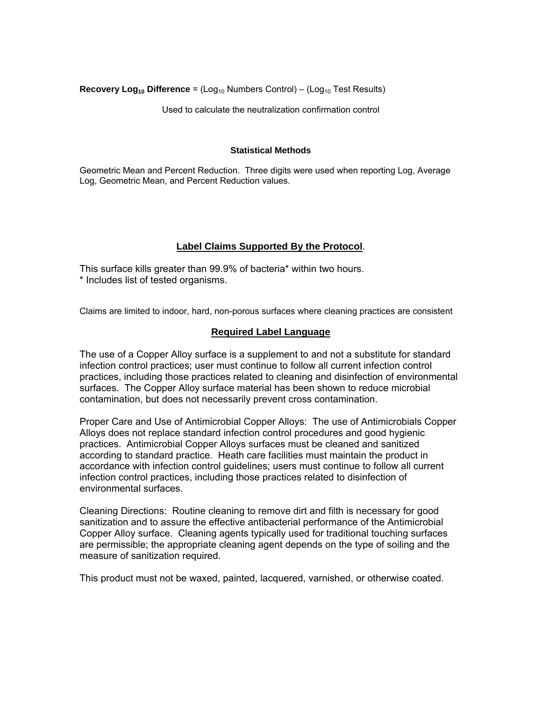**Recovery Log<sub>10</sub> Difference** = (Log<sub>10</sub> Numbers Control) – (Log<sub>10</sub> Test Results)

Used to calculate the neutralization confirmation control

#### **Statistical Methods**

Geometric Mean and Percent Reduction. Three digits were used when reporting Log, Average Log, Geometric Mean, and Percent Reduction values.

## **Label Claims Supported By the Protocol**.

This surface kills greater than 99.9% of bacteria\* within two hours. \* Includes list of tested organisms.

Claims are limited to indoor, hard, non-porous surfaces where cleaning practices are consistent

#### **Required Label Language**

The use of a Copper Alloy surface is a supplement to and not a substitute for standard infection control practices; user must continue to follow all current infection control practices, including those practices related to cleaning and disinfection of environmental surfaces. The Copper Alloy surface material has been shown to reduce microbial contamination, but does not necessarily prevent cross contamination.

Proper Care and Use of Antimicrobial Copper Alloys: The use of Antimicrobials Copper Alloys does not replace standard infection control procedures and good hygienic practices. Antimicrobial Copper Alloys surfaces must be cleaned and sanitized according to standard practice. Heath care facilities must maintain the product in accordance with infection control guidelines; users must continue to follow all current infection control practices, including those practices related to disinfection of environmental surfaces.

Cleaning Directions: Routine cleaning to remove dirt and filth is necessary for good sanitization and to assure the effective antibacterial performance of the Antimicrobial Copper Alloy surface. Cleaning agents typically used for traditional touching surfaces are permissible; the appropriate cleaning agent depends on the type of soiling and the measure of sanitization required.

This product must not be waxed, painted, lacquered, varnished, or otherwise coated.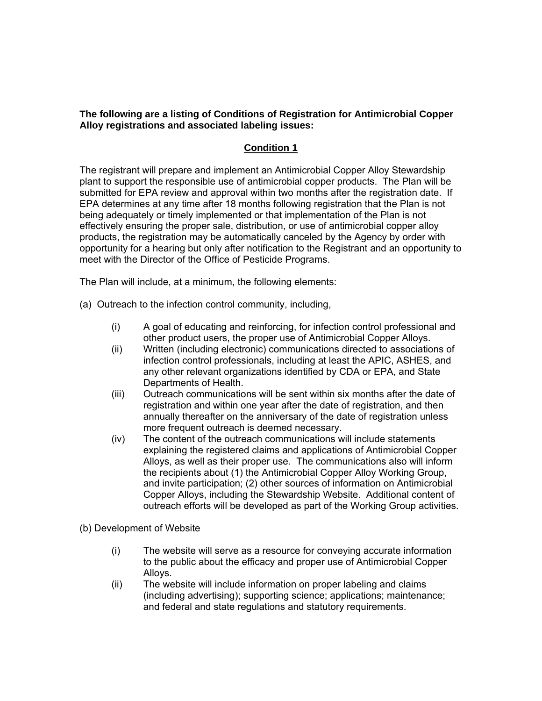**The following are a listing of Conditions of Registration for Antimicrobial Copper Alloy registrations and associated labeling issues:** 

## **Condition 1**

The registrant will prepare and implement an Antimicrobial Copper Alloy Stewardship plant to support the responsible use of antimicrobial copper products. The Plan will be submitted for EPA review and approval within two months after the registration date. If EPA determines at any time after 18 months following registration that the Plan is not being adequately or timely implemented or that implementation of the Plan is not effectively ensuring the proper sale, distribution, or use of antimicrobial copper alloy products, the registration may be automatically canceled by the Agency by order with opportunity for a hearing but only after notification to the Registrant and an opportunity to meet with the Director of the Office of Pesticide Programs.

The Plan will include, at a minimum, the following elements:

- (a) Outreach to the infection control community, including,
	- (i) A goal of educating and reinforcing, for infection control professional and other product users, the proper use of Antimicrobial Copper Alloys.
	- (ii) Written (including electronic) communications directed to associations of infection control professionals, including at least the APIC, ASHES, and any other relevant organizations identified by CDA or EPA, and State Departments of Health.
	- (iii) Outreach communications will be sent within six months after the date of registration and within one year after the date of registration, and then annually thereafter on the anniversary of the date of registration unless more frequent outreach is deemed necessary.
	- (iv) The content of the outreach communications will include statements explaining the registered claims and applications of Antimicrobial Copper Alloys, as well as their proper use. The communications also will inform the recipients about (1) the Antimicrobial Copper Alloy Working Group, and invite participation; (2) other sources of information on Antimicrobial Copper Alloys, including the Stewardship Website. Additional content of outreach efforts will be developed as part of the Working Group activities.

(b) Development of Website

- (i) The website will serve as a resource for conveying accurate information to the public about the efficacy and proper use of Antimicrobial Copper Alloys.
- (ii) The website will include information on proper labeling and claims (including advertising); supporting science; applications; maintenance; and federal and state regulations and statutory requirements.